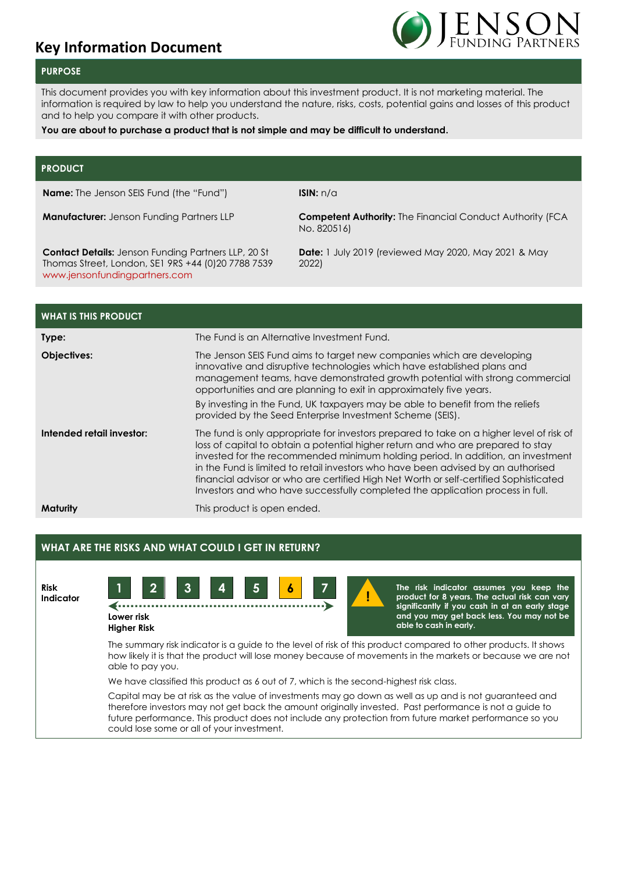# **Key Information Document**



# **PURPOSE**

This document provides you with key information about this investment product. It is not marketing material. The information is required by law to help you understand the nature, risks, costs, potential gains and losses of this product and to help you compare it with other products.

#### **You are about to purchase a product that is not simple and may be difficult to understand.**

### **PRODUCT**

**Name:** The Jenson SEIS Fund (the "Fund") **ISIN:** n/a

**Contact Details:** Jenson Funding Partners LLP, 20 St Thomas Street, London, SE1 9RS +44 (0)20 7788 7539 [www.jensonfundingpartners.com](http://www.jensonfundingpartners.com/)

**Manufacturer:** Jenson Funding Partners LLP **Competent Authority:** The Financial Conduct Authority (FCA No. 820516)

> **Date:** 1 July 2019 (reviewed May 2020, May 2021 & May 2022)

| <b>WHAT IS THIS PRODUCT</b> |                                                                                                                                                                                                                                                                                                                                                                                                                                                                                                                                 |
|-----------------------------|---------------------------------------------------------------------------------------------------------------------------------------------------------------------------------------------------------------------------------------------------------------------------------------------------------------------------------------------------------------------------------------------------------------------------------------------------------------------------------------------------------------------------------|
| Type:                       | The Fund is an Alternative Investment Fund.                                                                                                                                                                                                                                                                                                                                                                                                                                                                                     |
| Objectives:                 | The Jenson SEIS Fund aims to target new companies which are developing<br>innovative and disruptive technologies which have established plans and<br>management teams, have demonstrated growth potential with strong commercial<br>opportunities and are planning to exit in approximately five years.<br>By investing in the Fund, UK taxpayers may be able to benefit from the reliefs<br>provided by the Seed Enterprise Investment Scheme (SEIS).                                                                          |
| Intended retail investor:   | The fund is only appropriate for investors prepared to take on a higher level of risk of<br>loss of capital to obtain a potential higher return and who are prepared to stay<br>invested for the recommended minimum holding period. In addition, an investment<br>in the Fund is limited to retail investors who have been advised by an authorised<br>financial advisor or who are certified High Net Worth or self-certified Sophisticated<br>Investors and who have successfully completed the application process in full. |
| Maturity                    | This product is open ended.                                                                                                                                                                                                                                                                                                                                                                                                                                                                                                     |

## **WHAT ARE THE RISKS AND WHAT COULD I GET IN RETURN?**

**Risk Indicator**



**The risk indicator assumes you keep the product for 8 years. The actual risk can vary significantly if you cash in at an early stage and you may get back less. You may not be able to cash in early.**

The summary risk indicator is a guide to the level of risk of this product compared to other products. It shows how likely it is that the product will lose money because of movements in the markets or because we are not able to pay you.

!!

We have classified this product as 6 out of 7, which is the second-highest risk class.

Capital may be at risk as the value of investments may go down as well as up and is not guaranteed and therefore investors may not get back the amount originally invested. Past performance is not a guide to future performance. This product does not include any protection from future market performance so you could lose some or all of your investment.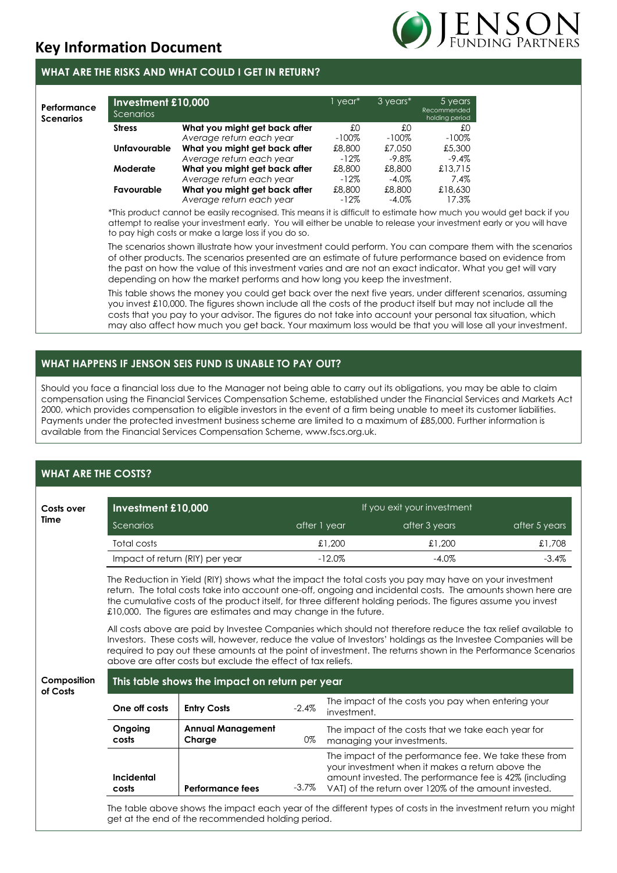

# **WHAT ARE THE RISKS AND WHAT COULD I GET IN RETURN?**

| Performance<br><b>Scenarios</b> | Investment £10,000<br>Scenarios |                               | 1 year*  | 3 years* | 5 years<br>Recommended<br>holding period |
|---------------------------------|---------------------------------|-------------------------------|----------|----------|------------------------------------------|
|                                 | <b>Stress</b>                   | What you might get back after | £O       | £O       | £0                                       |
|                                 |                                 | Average return each year      | $-100\%$ | $-100\%$ | $-100\%$                                 |
|                                 | <b>Unfavourable</b>             | What you might get back after | £8,800   | £7.050   | £5,300                                   |
|                                 |                                 | Average return each year      | $-12\%$  | $-9.8\%$ | $-9.4\%$                                 |
|                                 | Moderate                        | What you might get back after | £8,800   | £8,800   | £13.715                                  |
|                                 |                                 | Average return each year      | $-12\%$  | $-4.0\%$ | $7.4\%$                                  |
|                                 | Favourable                      | What you might get back after | £8,800   | £8,800   | £18,630                                  |
|                                 |                                 | Average return each year      | $-12\%$  | $-4.0\%$ | 17.3%                                    |

\*This product cannot be easily recognised. This means it is difficult to estimate how much you would get back if you attempt to realise your investment early. You will either be unable to release your investment early or you will have to pay high costs or make a large loss if you do so.

The scenarios shown illustrate how your investment could perform. You can compare them with the scenarios of other products. The scenarios presented are an estimate of future performance based on evidence from the past on how the value of this investment varies and are not an exact indicator. What you get will vary depending on how the market performs and how long you keep the investment.

This table shows the money you could get back over the next five years, under different scenarios, assuming you invest £10,000. The figures shown include all the costs of the product itself but may not include all the costs that you pay to your advisor. The figures do not take into account your personal tax situation, which may also affect how much you get back. Your maximum loss would be that you will lose all your investment.

# **WHAT HAPPENS IF JENSON SEIS FUND IS UNABLE TO PAY OUT?**

Should you face a financial loss due to the Manager not being able to carry out its obligations, you may be able to claim compensation using the Financial Services Compensation Scheme, established under the Financial Services and Markets Act 2000, which provides compensation to eligible investors in the event of a firm being unable to meet its customer liabilities. Payments under the protected investment business scheme are limited to a maximum of £85,000. Further information is available from the Financial Services Compensation Scheme, www.fscs.org.uk.

# **WHAT ARE THE COSTS?**

| Costs over              | Investment £10,000                                                                                                                                                                                                                                                                                                                                                                                          |                                                                                                                                                                                                                                                                                                                                                                                                                 |                      | If you exit your investment |                                                                                                                                                                                                                             |               |  |  |  |  |  |
|-------------------------|-------------------------------------------------------------------------------------------------------------------------------------------------------------------------------------------------------------------------------------------------------------------------------------------------------------------------------------------------------------------------------------------------------------|-----------------------------------------------------------------------------------------------------------------------------------------------------------------------------------------------------------------------------------------------------------------------------------------------------------------------------------------------------------------------------------------------------------------|----------------------|-----------------------------|-----------------------------------------------------------------------------------------------------------------------------------------------------------------------------------------------------------------------------|---------------|--|--|--|--|--|
| Time                    | Scenarios                                                                                                                                                                                                                                                                                                                                                                                                   |                                                                                                                                                                                                                                                                                                                                                                                                                 |                      | after 1 year                | after 3 years                                                                                                                                                                                                               | after 5 years |  |  |  |  |  |
|                         | Total costs                                                                                                                                                                                                                                                                                                                                                                                                 |                                                                                                                                                                                                                                                                                                                                                                                                                 |                      | £1,200                      | £1,200                                                                                                                                                                                                                      | £1,708        |  |  |  |  |  |
|                         | Impact of return (RIY) per year                                                                                                                                                                                                                                                                                                                                                                             |                                                                                                                                                                                                                                                                                                                                                                                                                 | $-12.0%$<br>$-4.0\%$ |                             | $-3.4%$                                                                                                                                                                                                                     |               |  |  |  |  |  |
|                         | The Reduction in Yield (RIY) shows what the impact the total costs you pay may have on your investment<br>return. The total costs take into account one-off, ongoing and incidental costs. The amounts shown here are<br>the cumulative costs of the product itself, for three different holding periods. The figures assume you invest<br>£10,000. The figures are estimates and may change in the future. |                                                                                                                                                                                                                                                                                                                                                                                                                 |                      |                             |                                                                                                                                                                                                                             |               |  |  |  |  |  |
|                         |                                                                                                                                                                                                                                                                                                                                                                                                             | All costs above are paid by Investee Companies which should not therefore reduce the tax relief available to<br>Investors. These costs will, however, reduce the value of Investors' holdings as the Investee Companies will be<br>required to pay out these amounts at the point of investment. The returns shown in the Performance Scenarios<br>above are after costs but exclude the effect of tax reliefs. |                      |                             |                                                                                                                                                                                                                             |               |  |  |  |  |  |
| Composition<br>of Costs | This table shows the impact on return per year                                                                                                                                                                                                                                                                                                                                                              |                                                                                                                                                                                                                                                                                                                                                                                                                 |                      |                             |                                                                                                                                                                                                                             |               |  |  |  |  |  |
|                         | One off costs                                                                                                                                                                                                                                                                                                                                                                                               | <b>Entry Costs</b>                                                                                                                                                                                                                                                                                                                                                                                              | $-2.4%$              | investment.                 | The impact of the costs you pay when entering your                                                                                                                                                                          |               |  |  |  |  |  |
|                         | Ongoing<br>costs                                                                                                                                                                                                                                                                                                                                                                                            | <b>Annual Management</b><br>Charge                                                                                                                                                                                                                                                                                                                                                                              | 0%                   | managing your investments.  | The impact of the costs that we take each year for                                                                                                                                                                          |               |  |  |  |  |  |
|                         | <b>Incidental</b><br>costs                                                                                                                                                                                                                                                                                                                                                                                  | <b>Performance fees</b>                                                                                                                                                                                                                                                                                                                                                                                         | $-3.7\%$             |                             | The impact of the performance fee. We take these from<br>your investment when it makes a return above the<br>amount invested. The performance fee is 42% (including<br>VAT) of the return over 120% of the amount invested. |               |  |  |  |  |  |
|                         |                                                                                                                                                                                                                                                                                                                                                                                                             | get at the end of the recommended holding period.                                                                                                                                                                                                                                                                                                                                                               |                      |                             | The table above shows the impact each year of the different types of costs in the investment return you might                                                                                                               |               |  |  |  |  |  |